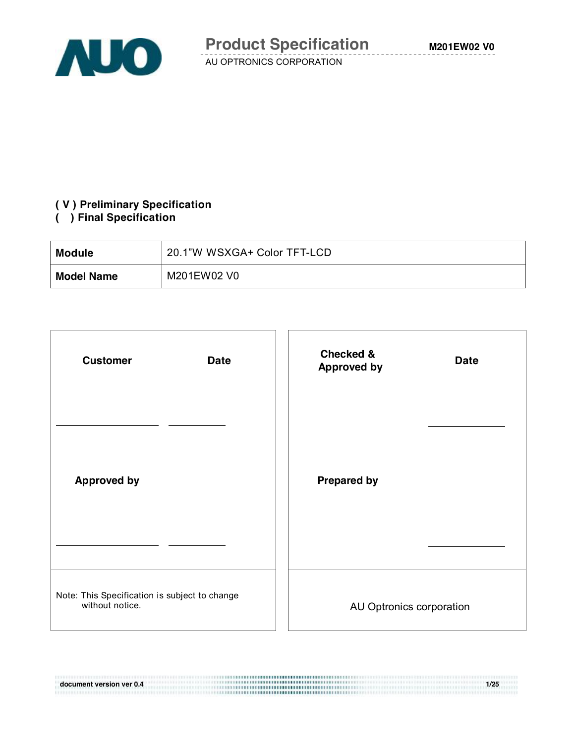

# **( V ) Preliminary Specification**

### **( ) Final Specification**

| <b>Module</b>     | 20.1"W WSXGA+ Color TFT-LCD |
|-------------------|-----------------------------|
| <b>Model Name</b> | M201EW02 V0                 |

| <b>Customer</b><br><b>Date</b>                                   | <b>Checked &amp;</b><br><b>Date</b><br><b>Approved by</b> |
|------------------------------------------------------------------|-----------------------------------------------------------|
|                                                                  |                                                           |
| <b>Approved by</b>                                               | <b>Prepared by</b>                                        |
|                                                                  |                                                           |
| Note: This Specification is subject to change<br>without notice. | AU Optronics corporation                                  |

**document version ver 0.4 1/25**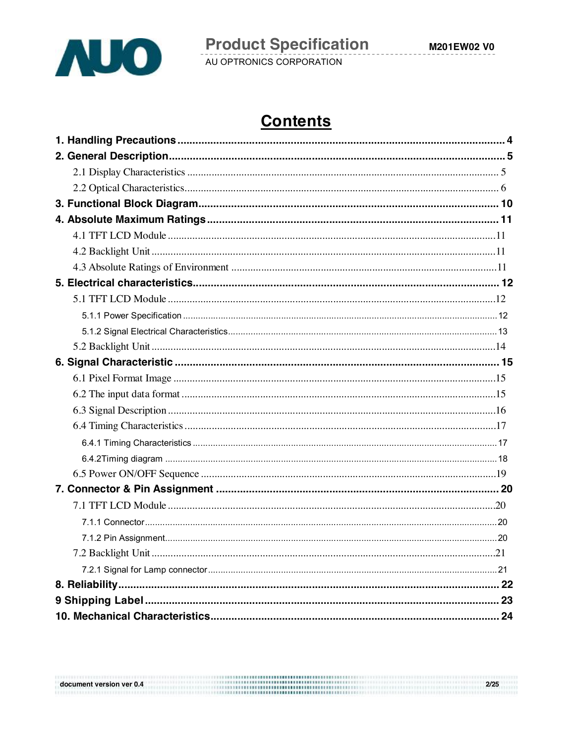

M201EW02 V0

AU OPTRONICS CORPORATION

# **Contents**

| 7.2 Backlight Unit | .21 |
|--------------------|-----|
|                    |     |
|                    |     |
|                    |     |
|                    |     |

 $2/25$   $2/25$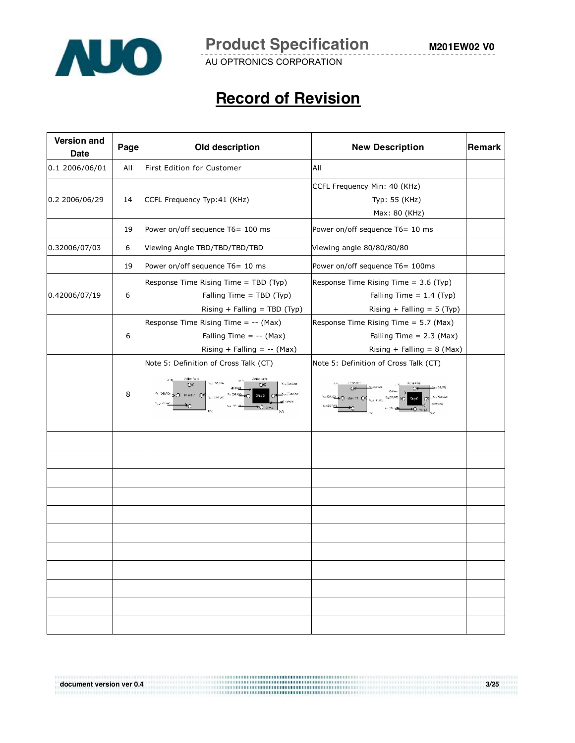

# **Record of Revision**

| <b>Version and</b><br><b>Date</b> | Page | Old description                                                                                                | <b>New Description</b>                                                                              | Remark |
|-----------------------------------|------|----------------------------------------------------------------------------------------------------------------|-----------------------------------------------------------------------------------------------------|--------|
| 0.1 2006/06/01                    | All  | First Edition for Customer                                                                                     | All                                                                                                 |        |
| 0.2 2006/06/29                    | 14   | CCFL Frequency Typ:41 (KHz)                                                                                    | CCFL Frequency Min: 40 (KHz)<br>Typ: 55 (KHz)<br>Max: 80 (KHz)                                      |        |
|                                   | 19   | Power on/off sequence T6= 100 ms                                                                               | Power on/off sequence T6= 10 ms                                                                     |        |
| 0.32006/07/03                     | 6    | Viewing Angle TBD/TBD/TBD/TBD                                                                                  | Viewing angle 80/80/80/80                                                                           |        |
|                                   | 19   | Power on/off sequence T6= 10 ms                                                                                | Power on/off sequence T6= 100ms                                                                     |        |
| 0.42006/07/19                     | 6    | Response Time Rising Time = TBD (Typ)<br>Falling Time = TBD (Typ)<br>Rising + Falling = $TBD$ (Typ)            | Response Time Rising Time = 3.6 (Typ)<br>Falling Time = $1.4$ (Typ)<br>Rising + Falling = $5$ (Typ) |        |
|                                   | 6    | Response Time Rising Time = -- (Max)<br>Falling Time = $-(-$ (Max)<br>Rising + Falling = $-(-$ (Max)           | Response Time Rising Time = 5.7 (Max)<br>Falling Time = $2.3$ (Max)<br>Rising + Falling = $8$ (Max) |        |
|                                   | 8    | Note 5: Definition of Cross Talk (CT)<br><sup>on</sup> ≯O Perr O <mark>P</mark> <sub>want</sub> oo<br>$2\pi/2$ | Note 5: Definition of Cross Talk (CT)                                                               |        |
|                                   |      |                                                                                                                |                                                                                                     |        |
|                                   |      |                                                                                                                |                                                                                                     |        |
|                                   |      |                                                                                                                |                                                                                                     |        |
|                                   |      |                                                                                                                |                                                                                                     |        |
|                                   |      |                                                                                                                |                                                                                                     |        |
|                                   |      |                                                                                                                |                                                                                                     |        |
|                                   |      |                                                                                                                |                                                                                                     |        |
|                                   |      |                                                                                                                |                                                                                                     |        |
|                                   |      |                                                                                                                |                                                                                                     |        |
|                                   |      |                                                                                                                |                                                                                                     |        |

**document version ver 0.4 3/25** 

**M201EW02 V0**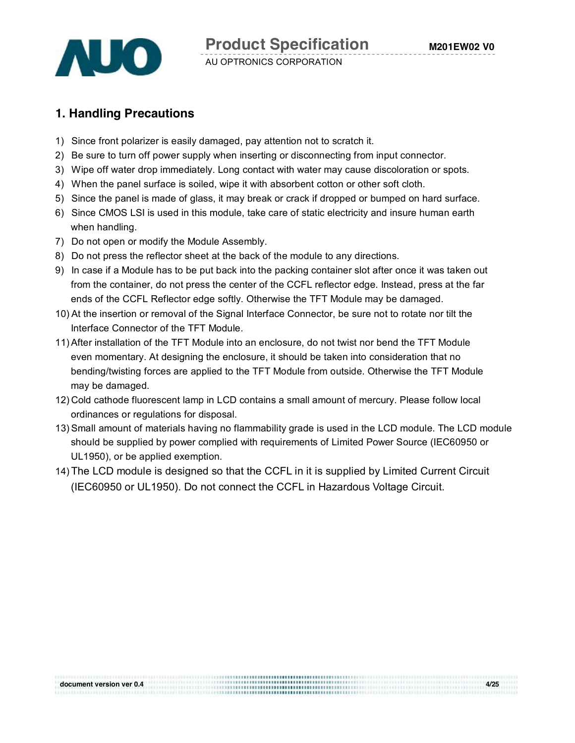

## **1. Handling Precautions**

- 1) Since front polarizer is easily damaged, pay attention not to scratch it.
- 2) Be sure to turn off power supply when inserting or disconnecting from input connector.
- 3) Wipe off water drop immediately. Long contact with water may cause discoloration or spots.
- 4) When the panel surface is soiled, wipe it with absorbent cotton or other soft cloth.
- 5) Since the panel is made of glass, it may break or crack if dropped or bumped on hard surface.
- 6) Since CMOS LSI is used in this module, take care of static electricity and insure human earth when handling.
- 7) Do not open or modify the Module Assembly.
- 8) Do not press the reflector sheet at the back of the module to any directions.
- 9) In case if a Module has to be put back into the packing container slot after once it was taken out from the container, do not press the center of the CCFL reflector edge. Instead, press at the far ends of the CCFL Reflector edge softly. Otherwise the TFT Module may be damaged.
- 10) At the insertion or removal of the Signal Interface Connector, be sure not to rotate nor tilt the Interface Connector of the TFT Module.
- 11)After installation of the TFT Module into an enclosure, do not twist nor bend the TFT Module even momentary. At designing the enclosure, it should be taken into consideration that no bending/twisting forces are applied to the TFT Module from outside. Otherwise the TFT Module may be damaged.
- 12) Cold cathode fluorescent lamp in LCD contains a small amount of mercury. Please follow local ordinances or regulations for disposal.
- 13) Small amount of materials having no flammability grade is used in the LCD module. The LCD module should be supplied by power complied with requirements of Limited Power Source (IEC60950 or UL1950), or be applied exemption.
- 14) The LCD module is designed so that the CCFL in it is supplied by Limited Current Circuit (IEC60950 or UL1950). Do not connect the CCFL in Hazardous Voltage Circuit.

**document version ver 0.4 4/25**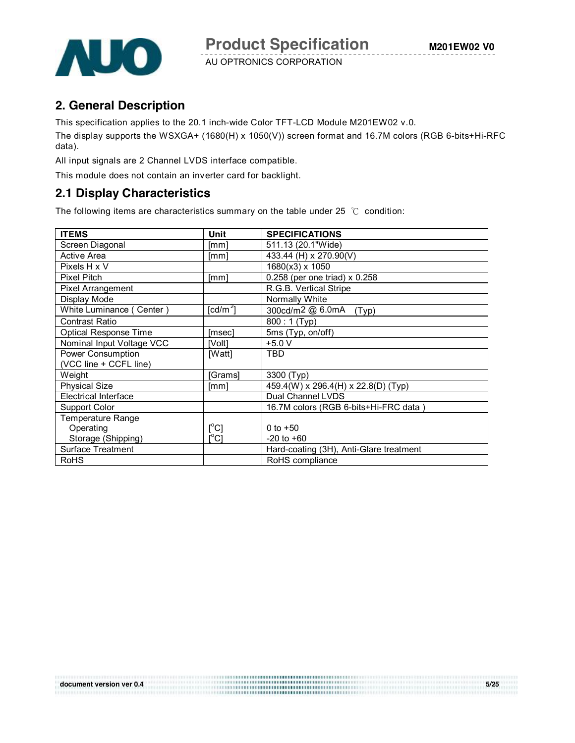

### **2. General Description**

This specification applies to the 20.1 inch-wide Color TFT-LCD Module M201EW02 v.0.

The display supports the WSXGA+ (1680(H) x 1050(V)) screen format and 16.7M colors (RGB 6-bits+Hi-RFC data).

All input signals are 2 Channel LVDS interface compatible.

This module does not contain an inverter card for backlight.

### **2.1 Display Characteristics**

The following items are characteristics summary on the table under 25 ℃ condition:

| <b>ITEMS</b>                 | Unit                                    | <b>SPECIFICATIONS</b>                   |
|------------------------------|-----------------------------------------|-----------------------------------------|
| Screen Diagonal              | [mm]                                    | 511.13 (20.1"Wide)                      |
| Active Area                  | $\lceil mm \rceil$                      | 433.44 (H) x 270.90(V)                  |
| Pixels H x V                 |                                         | 1680(x3) x 1050                         |
| <b>Pixel Pitch</b>           | [mm]                                    | 0.258 (per one triad) x 0.258           |
| Pixel Arrangement            |                                         | R.G.B. Vertical Stripe                  |
| Display Mode                 |                                         | Normally White                          |
| White Luminance (Center)     | [cd/m $^{2}$ ]                          | 300cd/m2 @ 6.0mA<br>(Typ)               |
| <b>Contrast Ratio</b>        |                                         | 800: 1 (Typ)                            |
| <b>Optical Response Time</b> | [msec]                                  | 5ms (Typ, on/off)                       |
| Nominal Input Voltage VCC    | [Volt]                                  | $+5.0 V$                                |
| Power Consumption            | [Watt]                                  | <b>TBD</b>                              |
| (VCC line + CCFL line)       |                                         |                                         |
| Weight                       | [Grams]                                 | 3300 (Typ)                              |
| <b>Physical Size</b>         | [mm]                                    | 459.4(W) x 296.4(H) x 22.8(D) (Typ)     |
| <b>Electrical Interface</b>  |                                         | Dual Channel LVDS                       |
| Support Color                |                                         | 16.7M colors (RGB 6-bits+Hi-FRC data)   |
| Temperature Range            |                                         |                                         |
| Operating                    | $[^{\circ}C]$                           | 0 to $+50$                              |
| Storage (Shipping)           | $\mathsf{I}^\circ\mathsf{C} \mathsf{I}$ | $-20$ to $+60$                          |
| <b>Surface Treatment</b>     |                                         | Hard-coating (3H), Anti-Glare treatment |
| <b>RoHS</b>                  |                                         | RoHS compliance                         |

**document version ver 0.4** 5/25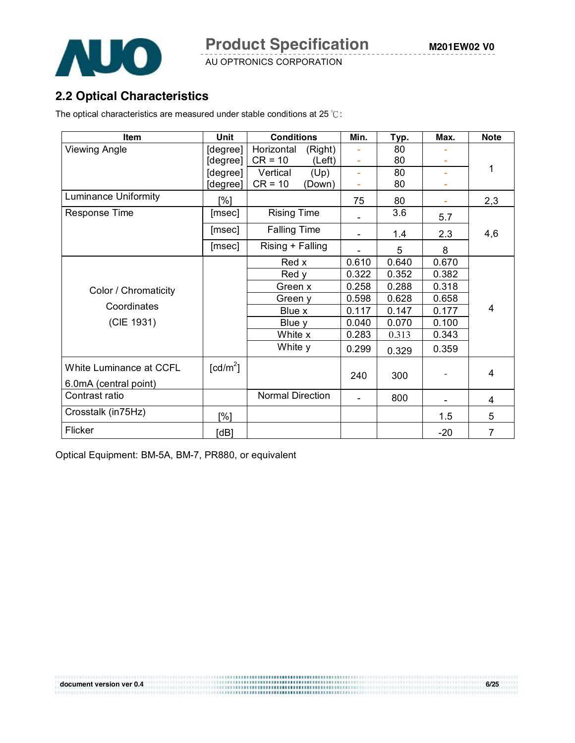

## **2.2 Optical Characteristics**

The optical characteristics are measured under stable conditions at 25 ℃:

| <b>Item</b>                                      | <b>Unit</b>          | <b>Conditions</b>       | Min.           | Typ.  | Max.  | <b>Note</b> |
|--------------------------------------------------|----------------------|-------------------------|----------------|-------|-------|-------------|
| Viewing Angle                                    | [degree]             | Horizontal<br>(Right)   | ÷              | 80    |       |             |
|                                                  | [degree]             | $CR = 10$<br>(Left)     |                | 80    |       |             |
|                                                  | [degree]             | Vertical<br>(Up)        | ÷              | 80    |       | 1           |
|                                                  | [degree]             | $CR = 10$<br>(Down)     | ÷              | 80    |       |             |
| <b>Luminance Uniformity</b>                      | [%]                  |                         | 75             | 80    |       | 2,3         |
| <b>Response Time</b>                             | [msec]               | <b>Rising Time</b>      |                | 3.6   | 5.7   |             |
|                                                  | [msec]               | <b>Falling Time</b>     |                | 1.4   | 2.3   | 4,6         |
|                                                  | [msec]               | Rising + Falling        |                | 5     | 8     |             |
|                                                  |                      | Red x                   | 0.610          | 0.640 | 0.670 |             |
|                                                  |                      | Red y                   | 0.322          | 0.352 | 0.382 |             |
| Color / Chromaticity                             |                      | Green x                 | 0.258          | 0.288 | 0.318 |             |
|                                                  |                      | Green y                 | 0.598          | 0.628 | 0.658 |             |
| Coordinates                                      |                      | Blue x                  | 0.117          | 0.147 | 0.177 | 4           |
| (CIE 1931)                                       |                      | Blue y                  | 0.040          | 0.070 | 0.100 |             |
|                                                  |                      | White x                 | 0.283          | 0.313 | 0.343 |             |
|                                                  |                      | White y                 | 0.299          | 0.329 | 0.359 |             |
| White Luminance at CCFL<br>6.0mA (central point) | [cd/m <sup>2</sup> ] |                         | 240            | 300   |       | 4           |
| Contrast ratio                                   |                      | <b>Normal Direction</b> | $\overline{a}$ | 800   |       | 4           |
| Crosstalk (in75Hz)                               | [%]                  |                         |                |       | 1.5   | 5           |
| Flicker                                          | [dB]                 |                         |                |       | $-20$ | 7           |

Optical Equipment: BM-5A, BM-7, PR880, or equivalent

**document version ver 0.4** 6/25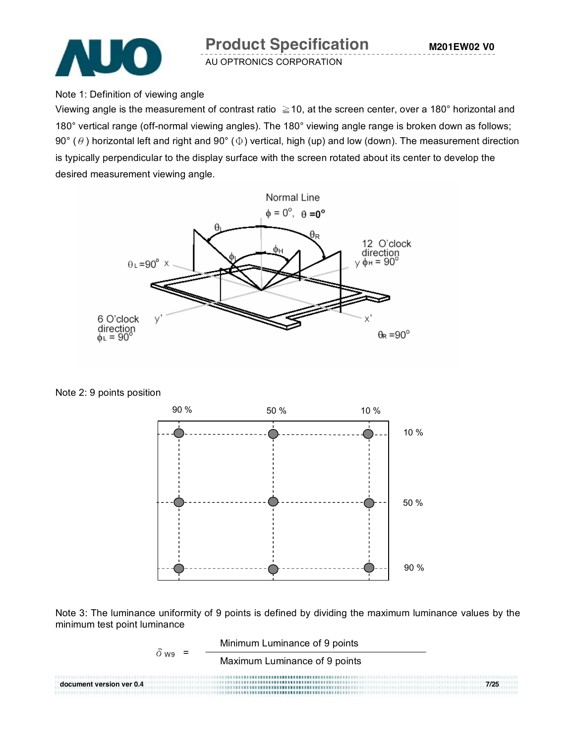

#### Note 1: Definition of viewing angle

Viewing angle is the measurement of contrast ratio  $\geq$  10, at the screen center, over a 180° horizontal and 180° vertical range (off-normal viewing angles). The 180° viewing angle range is broken down as follows; 90° ( $\theta$ ) horizontal left and right and 90° ( $\Phi$ ) vertical, high (up) and low (down). The measurement direction is typically perpendicular to the display surface with the screen rotated about its center to develop the desired measurement viewing angle.



Note 2: 9 points position



Note 3: The luminance uniformity of 9 points is defined by dividing the maximum luminance values by the minimum test point luminance

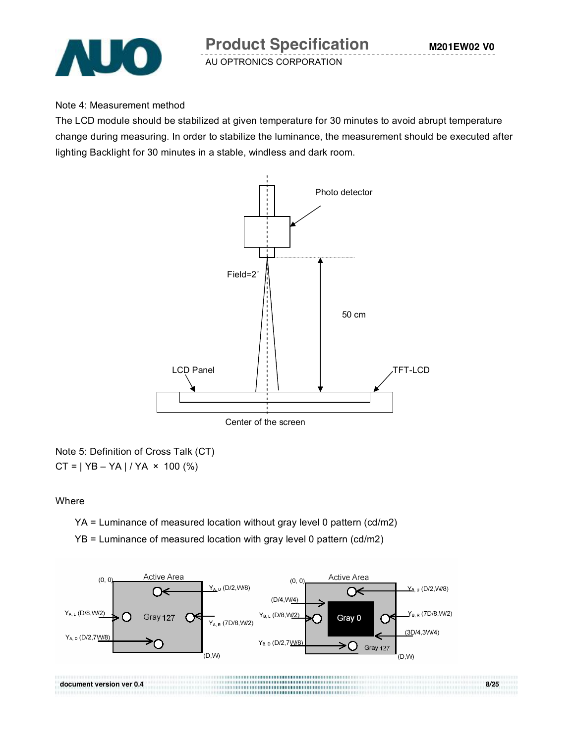

Note 4: Measurement method

The LCD module should be stabilized at given temperature for 30 minutes to avoid abrupt temperature change during measuring. In order to stabilize the luminance, the measurement should be executed after lighting Backlight for 30 minutes in a stable, windless and dark room.



Note 5: Definition of Cross Talk (CT)  $CT = | YB - YA | / YA \times 100 \, (%)$ 

Where

YA = Luminance of measured location without gray level 0 pattern (cd/m2)

YB = Luminance of measured location with gray level 0 pattern (cd/m2)

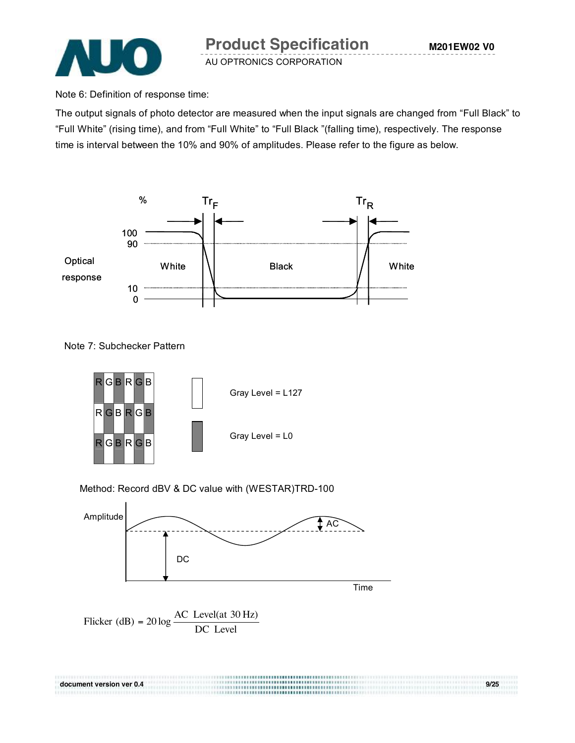

Note 6: Definition of response time:

The output signals of photo detector are measured when the input signals are changed from "Full Black" to "Full White" (rising time), and from "Full White" to "Full Black "(falling time), respectively. The response time is interval between the 10% and 90% of amplitudes. Please refer to the figure as below.



Note 7: Subchecker Pattern



Method: Record dBV & DC value with (WESTAR)TRD-100

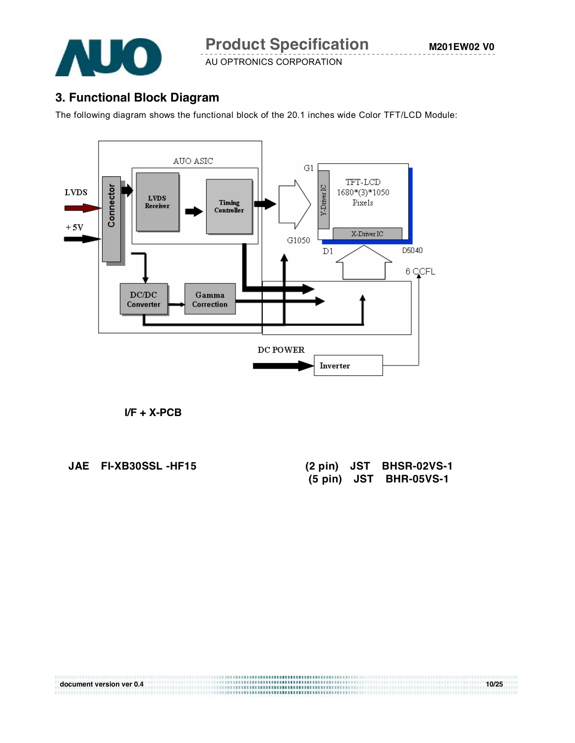

## **3. Functional Block Diagram**

The following diagram shows the functional block of the 20.1 inches wide Color TFT/LCD Module:



**document version ver 0.4** 10/25

**I/F + X-PCB**

**JAE FI-XB30SSL-HF15** 

| AE FI-XB30SSL-HF15 |  | $(2 \text{ pin})$ JST BHSR-02VS-1 |
|--------------------|--|-----------------------------------|
|                    |  | (5 pin) JST BHR-05VS-1            |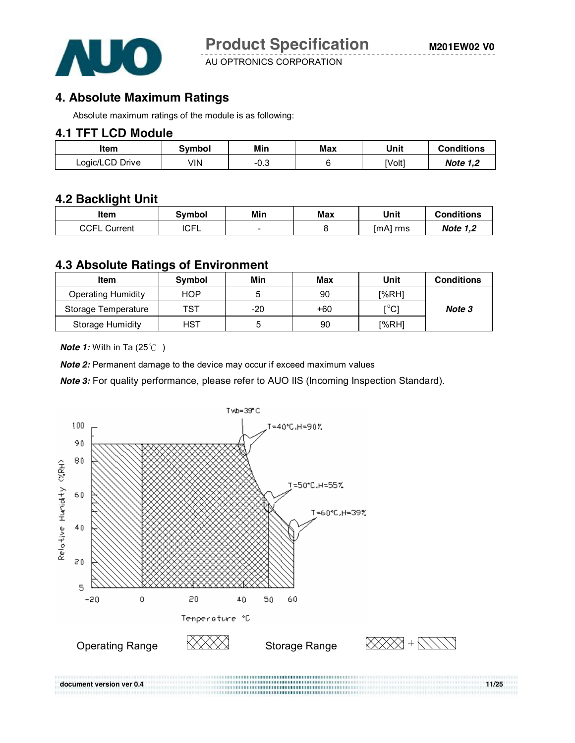

## **4. Absolute Maximum Ratings**

Absolute maximum ratings of the module is as following:

#### **4.1 TFT LCD Module**

| ltem            | Svmbol | Min  | Max | Unit   | <b>Conditions</b> |
|-----------------|--------|------|-----|--------|-------------------|
| Logic/LCD Drive | √lN    | ن.∪- |     | [Volt] | <b>Note 1.2</b>   |

#### **4.2 Backlight Unit**

| ltem              | <b>Symbol</b> | Min | Max | Unit     | <b>Conditions</b> |
|-------------------|---------------|-----|-----|----------|-------------------|
| CCFL<br>. Current | <b>ICFL</b>   | -   |     | [mA] rms | <b>Note 1,2</b>   |

#### **4.3 Absolute Ratings of Environment**

| Item                      | <b>Symbol</b> | Min   | Max   | Unit  | <b>Conditions</b> |
|---------------------------|---------------|-------|-------|-------|-------------------|
| <b>Operating Humidity</b> | HOP           |       | 90    | I%RH1 |                   |
| Storage Temperature       | TST           | $-20$ | $+60$ | [°C]  | Note 3            |
| Storage Humidity          | <b>HST</b>    |       | 90    | [%RH] |                   |

*Note 1:* With in Ta (25℃)

**Note 2:** Permanent damage to the device may occur if exceed maximum values

*Note 3:* For quality performance, please refer to AUO IIS (Incoming Inspection Standard).

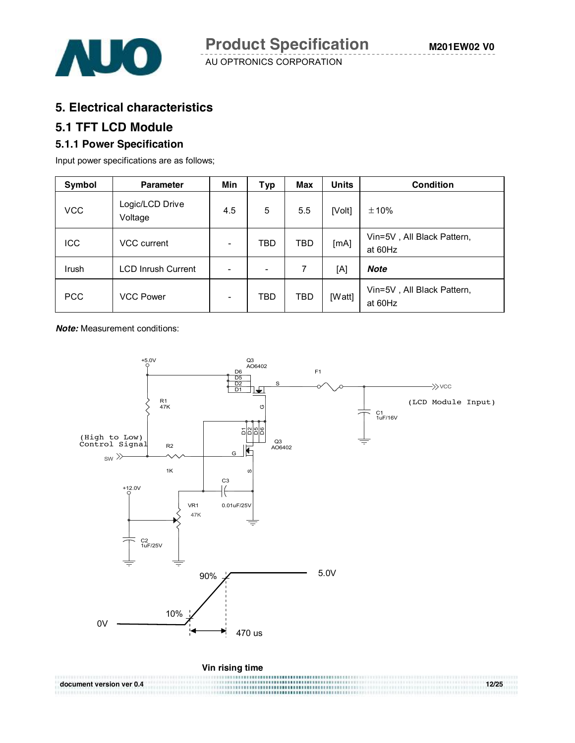

#### **5. Electrical characteristics**

## **5.1 TFT LCD Module**

#### **5.1.1 Power Specification**

Input power specifications are as follows;

| Symbol     | <b>Parameter</b>           | Min                      | <b>Typ</b> | <b>Max</b> | <b>Units</b> | <b>Condition</b>                      |
|------------|----------------------------|--------------------------|------------|------------|--------------|---------------------------------------|
| <b>VCC</b> | Logic/LCD Drive<br>Voltage | 4.5                      | 5          | 5.5        | [Volt]       | ±10%                                  |
| ICC        | VCC current                | $\overline{\phantom{0}}$ | TBD        | TBD        | [mA]         | Vin=5V, All Black Pattern,<br>at 60Hz |
| Irush      | <b>LCD Inrush Current</b>  | $\overline{\phantom{0}}$ | ۰          | 7          | [A]          | Note                                  |
| <b>PCC</b> | <b>VCC Power</b>           |                          | TBD        | TBD        | [Watt]       | Vin=5V, All Black Pattern,<br>at 60Hz |

*Note:* Measurement conditions:

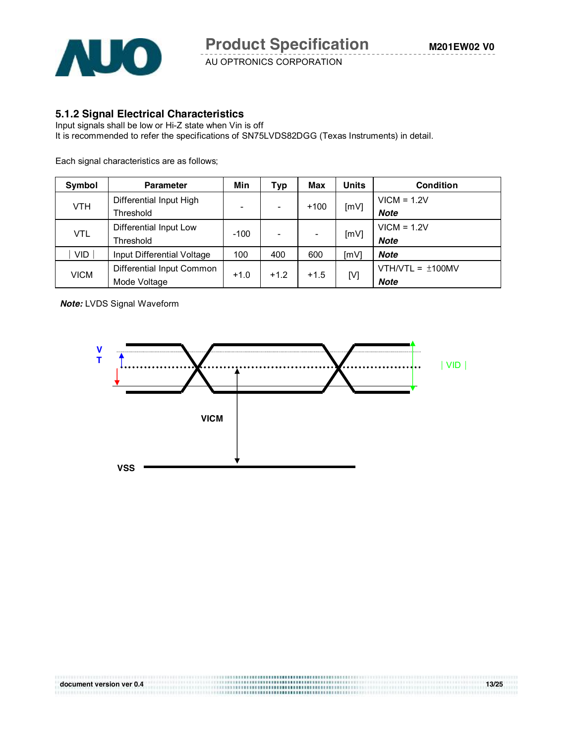

#### **5.1.2 Signal Electrical Characteristics**

Input signals shall be low or Hi-Z state when Vin is off It is recommended to refer the specifications of SN75LVDS82DGG (Texas Instruments) in detail.

Each signal characteristics are as follows;

| Symbol      | <b>Parameter</b>           | Min                      | Typ    | Max    | <b>Units</b> | <b>Condition</b>      |
|-------------|----------------------------|--------------------------|--------|--------|--------------|-----------------------|
|             | Differential Input High    |                          |        |        |              | $VICM = 1.2V$         |
| <b>VTH</b>  | Threshold                  | $\overline{\phantom{0}}$ | ۰      | $+100$ | [mV]         | <b>Note</b>           |
|             | Differential Input Low     |                          |        |        |              | $VICM = 1.2V$         |
| <b>VTL</b>  | <b>Threshold</b>           | $-100$                   |        |        | [mV]         | <b>Note</b>           |
| <b>VID</b>  | Input Differential Voltage | 100                      | 400    | 600    | [mV]         | Note                  |
|             | Differential Input Common  |                          | $+1.2$ | $+1.5$ | [V]          | VTH/VTL = $\pm$ 100MV |
| <b>VICM</b> | Mode Voltage               | $+1.0$                   |        |        |              | <b>Note</b>           |

*Note:* LVDS Signal Waveform



**document version ver 0.4 13/25**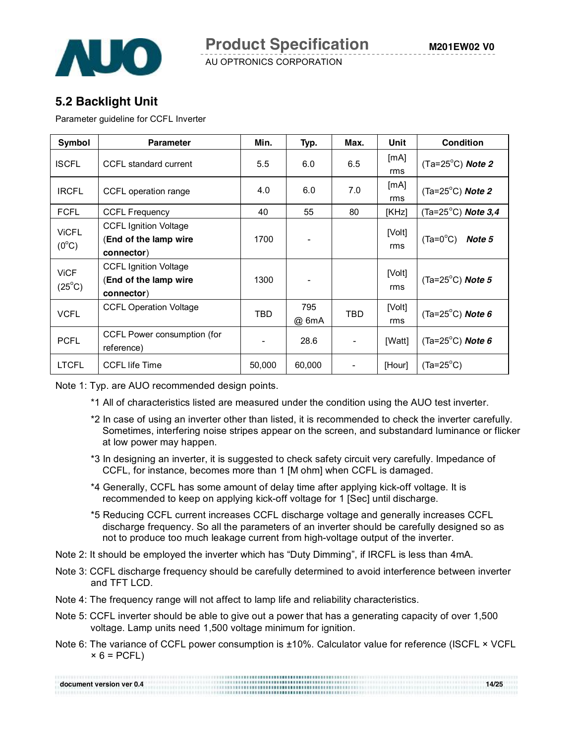

## **5.2 Backlight Unit**

Parameter guideline for CCFL Inverter

| Symbol                         | <b>Parameter</b>                                                    | Min.   | Typ.         | Max.                         | Unit          | <b>Condition</b>                 |
|--------------------------------|---------------------------------------------------------------------|--------|--------------|------------------------------|---------------|----------------------------------|
| <b>ISCFL</b>                   | CCFL standard current                                               | 5.5    | 6.0          | 6.5                          | [mA]<br>rms   | $(Ta=25^{\circ}C)$ Note 2        |
| <b>IRCFL</b>                   | CCFL operation range                                                | 4.0    | 6.0          | 7.0                          | [mA]<br>rms   | $(Ta=25^{\circ}C)$ <i>Note 2</i> |
| <b>FCFL</b>                    | <b>CCFL Frequency</b>                                               | 40     | 55           | 80                           | [KHz]         | (Ta=25 $^{\circ}$ C) Note 3,4    |
| <b>ViCFL</b><br>$(0^{\circ}C)$ | <b>CCFL Ignition Voltage</b><br>(End of the lamp wire<br>connector) | 1700   |              |                              | [Volt]<br>rms | $(Ta=0^{\circ}C)$<br>Note 5      |
| <b>ViCF</b><br>$(25^{\circ}C)$ | <b>CCFL Ignition Voltage</b><br>(End of the lamp wire<br>connector) | 1300   |              |                              | [Volt]<br>rms | (Ta= $25^{\circ}$ C) Note 5      |
| <b>VCFL</b>                    | <b>CCFL Operation Voltage</b>                                       | TBD    | 795<br>@ 6mA | TBD                          | [Volt]<br>rms | (Ta=25 $^{\circ}$ C) Note 6      |
| <b>PCFL</b>                    | CCFL Power consumption (for<br>reference)                           |        | 28.6         |                              | [Watt]        | (Ta=25 $^{\circ}$ C) Note 6      |
| <b>LTCFL</b>                   | <b>CCFL life Time</b>                                               | 50,000 | 60,000       | $\qquad \qquad \blacksquare$ | [Hour]        | $(Ta=25^{\circ}C)$               |

Note 1: Typ. are AUO recommended design points.

- \*1 All of characteristics listed are measured under the condition using the AUO test inverter.
- \*2 In case of using an inverter other than listed, it is recommended to check the inverter carefully. Sometimes, interfering noise stripes appear on the screen, and substandard luminance or flicker at low power may happen.
- \*3 In designing an inverter, it is suggested to check safety circuit very carefully. Impedance of CCFL, for instance, becomes more than 1 [M ohm] when CCFL is damaged.
- \*4 Generally, CCFL has some amount of delay time after applying kick-off voltage. It is recommended to keep on applying kick-off voltage for 1 [Sec] until discharge.
- \*5 Reducing CCFL current increases CCFL discharge voltage and generally increases CCFL discharge frequency. So all the parameters of an inverter should be carefully designed so as not to produce too much leakage current from high-voltage output of the inverter.
- Note 2: It should be employed the inverter which has "Duty Dimming", if IRCFL is less than 4mA.
- Note 3: CCFL discharge frequency should be carefully determined to avoid interference between inverter and TFT LCD.
- Note 4: The frequency range will not affect to lamp life and reliability characteristics.
- Note 5: CCFL inverter should be able to give out a power that has a generating capacity of over 1,500 voltage. Lamp units need 1,500 voltage minimum for ignition.
- Note 6: The variance of CCFL power consumption is ±10%. Calculator value for reference (ISCFL × VCFL  $\times$  6 = PCFL)

| 14/25 |
|-------|
|       |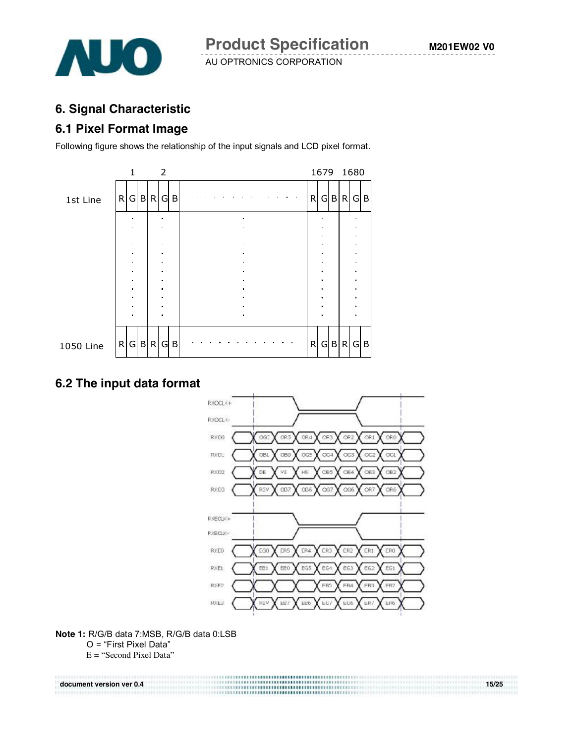

## **6. Signal Characteristic**

## **6.1 Pixel Format Image**

Following figure shows the relationship of the input signals and LCD pixel format.



## **6.2 The input data format**



**Note 1:** R/G/B data 7:MSB, R/G/B data 0:LSB O = "First Pixel Data" E = "Second Pixel Data"

**document version ver 0.4** 15/25 **15/25**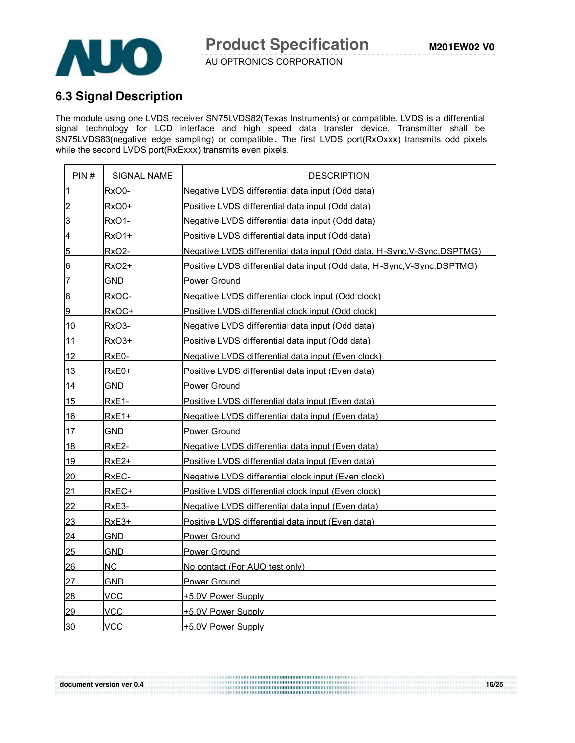



## **6.3 Signal Description**

The module using one LVDS receiver SN75LVDS82(Texas Instruments) or compatible. LVDS is a differential signal technology for LCD interface and high speed data transfer device. Transmitter shall be SN75LVDS83(negative edge sampling) or compatible **.** The first LVDS port(RxOxxx) transmits odd pixels while the second LVDS port(RxExxx) transmits even pixels.

| PIN#            | <b>SIGNAL NAME</b> | <b>DESCRIPTION</b>                                                       |
|-----------------|--------------------|--------------------------------------------------------------------------|
| $\overline{1}$  | RxO0-              | Negative LVDS differential data input (Odd data)                         |
| $\overline{2}$  | $RxO0+$            | Positive LVDS differential data input (Odd data)                         |
| 3               | RxO1-              | Negative LVDS differential data input (Odd data)                         |
| $\overline{4}$  | RxO1+              | Positive LVDS differential data input (Odd data)                         |
| $5\phantom{.0}$ | RxO2-              | Negative LVDS differential data input (Odd data, H-Sync.V-Sync.DSPTMG)   |
| 6               | RxO <sub>2</sub> + | Positive LVDS differential data input (Odd data, H-Sync, V-Sync, DSPTMG) |
| $\overline{7}$  | GND.               | Power Ground                                                             |
| $\overline{8}$  | RxOC-              | Negative LVDS differential clock input (Odd clock)                       |
| 9               | RxOC+              | Positive LVDS differential clock input (Odd clock)                       |
| 10              | RxO3-              | Negative LVDS differential data input (Odd data)                         |
| 11              | RxO3+              | Positive LVDS differential data input (Odd data)                         |
| 12              | RxE0-              | Negative LVDS differential data input (Even clock)                       |
| 13              | RxE0+              | Positive LVDS differential data input (Even data)                        |
| <u> 14</u>      | <b>GND</b>         | Power Ground                                                             |
| 15              | RxE <sub>1</sub> - | Positive LVDS differential data input (Even data)                        |
| 16              | RxE1+              | Negative LVDS differential data input (Even data)                        |
| 17              | <b>GND</b>         | Power Ground                                                             |
| 18              | RxE2-              | Negative LVDS differential data input (Even data)                        |
| 19              | RxE2+              | Positive LVDS differential data input (Even data)                        |
| 20              | RxEC-              | Negative LVDS differential clock input (Even clock)                      |
| 21              | RxEC+              | Positive LVDS differential clock input (Even clock)                      |
| 22              | RxE3-              | Negative LVDS differential data input (Even data)                        |
| 23              | RxE3+              | Positive LVDS differential data input (Even data)                        |
| 24              | <b>GND</b>         | Power Ground                                                             |
| 25              | GND                | Power Ground                                                             |
| 26              | NC.                | No contact (For AUO test only)                                           |
| 27              | <b>GND</b>         | Power Ground                                                             |
| 28              | <b>VCC</b>         | +5.0V Power Supply                                                       |
| 29              | VCC                | +5.0V Power Supply                                                       |
| 30              | VCC                | +5.0V Power Supply                                                       |

**document version ver 0.4** 16/25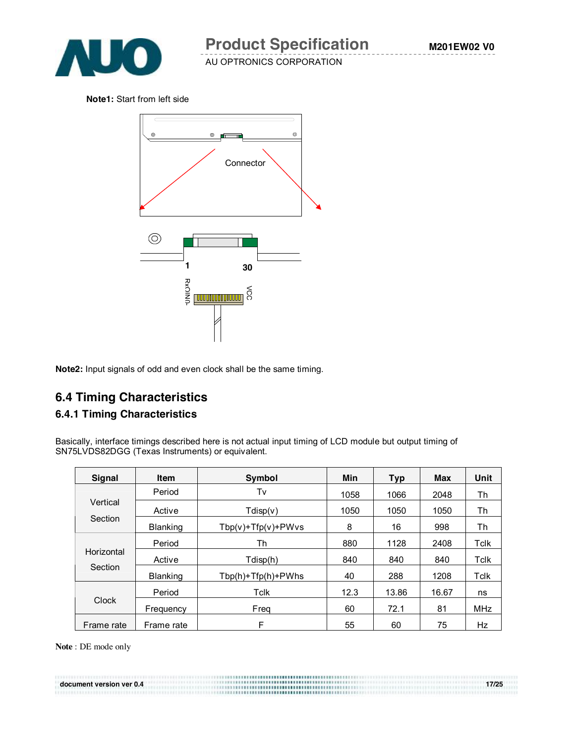

**Note1:** Start from left side



**Note2:** Input signals of odd and even clock shall be the same timing.

## **6.4 Timing Characteristics**

#### **6.4.1 Timing Characteristics**

Basically, interface timings described here is not actual input timing of LCD module but output timing of SN75LVDS82DGG (Texas Instruments) or equivalent.

| <b>Signal</b>       | <b>Item</b>     | <b>Symbol</b>            | Min  | <b>Typ</b> | Max   | Unit       |
|---------------------|-----------------|--------------------------|------|------------|-------|------------|
|                     | Period          | Tv                       | 1058 | 1066       | 2048  | Th         |
| Vertical<br>Section | Active          | Tdisp(v)                 | 1050 | 1050       | 1050  | Th         |
|                     | Blanking        | $Tbp(v) + Tfp(v) + PWvs$ | 8    | 16         | 998   | Th         |
|                     | Period          | Th                       | 880  | 1128       | 2408  | Tclk       |
| Horizontal          | Active          | Tdisp(h)                 | 840  | 840        | 840   | Tclk       |
| Section             | <b>Blanking</b> | $Tbp(h) + Tfp(h) + PWhs$ | 40   | 288        | 1208  | Tclk       |
|                     | Period          | Tclk                     | 12.3 | 13.86      | 16.67 | ns         |
| <b>Clock</b>        | Frequency       | Freq                     | 60   | 72.1       | 81    | <b>MHz</b> |
| Frame rate          | Frame rate      | F                        | 55   | 60         | 75    | Hz         |

**document version ver 0.4** 17/25

**Note** : DE mode only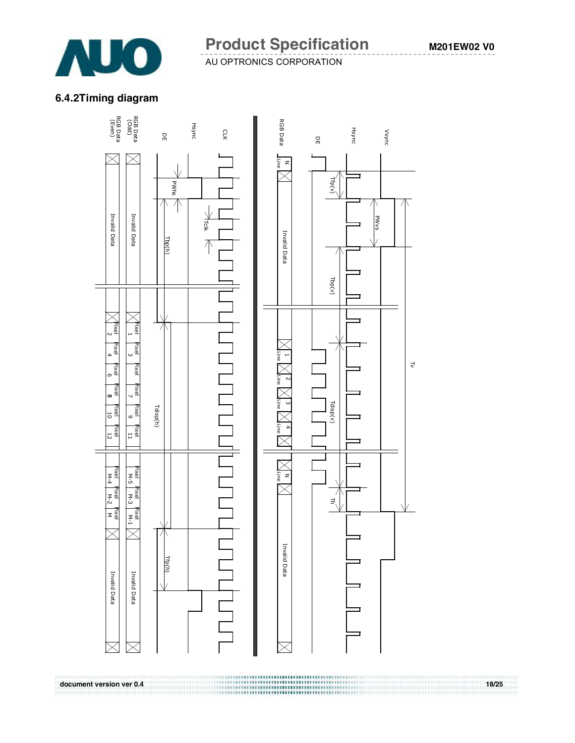

#### **M201EW02 V0**

#### **6.4.2Timing diagram**

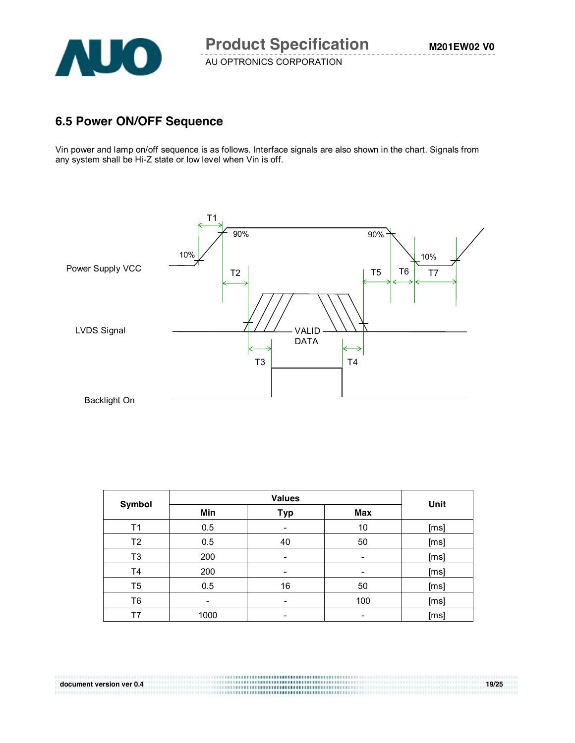

## **6.5 Power ON/OFF Sequence**

Vin power and lamp on/off sequence is as follows. Interface signals are also shown in the chart. Signals from any system shall be Hi-Z state or low level when Vin is off.



| Symbol |      | Unit                     |                          |      |  |
|--------|------|--------------------------|--------------------------|------|--|
|        | Min  | Max<br><b>Typ</b>        |                          |      |  |
| Τ1     | 0.5  | -                        | 10                       | [ms] |  |
| T2     | 0.5  | 40                       | 50                       | [ms] |  |
| T3     | 200  | -                        | ۰                        | [ms] |  |
| T4     | 200  | $\overline{\phantom{0}}$ | -                        | [ms] |  |
| T5     | 0.5  | 16                       | 50                       | [ms] |  |
| T6     |      | -                        | 100                      | [ms] |  |
| T7     | 1000 |                          | $\overline{\phantom{a}}$ | [ms] |  |

**document version ver 0.4** 19/25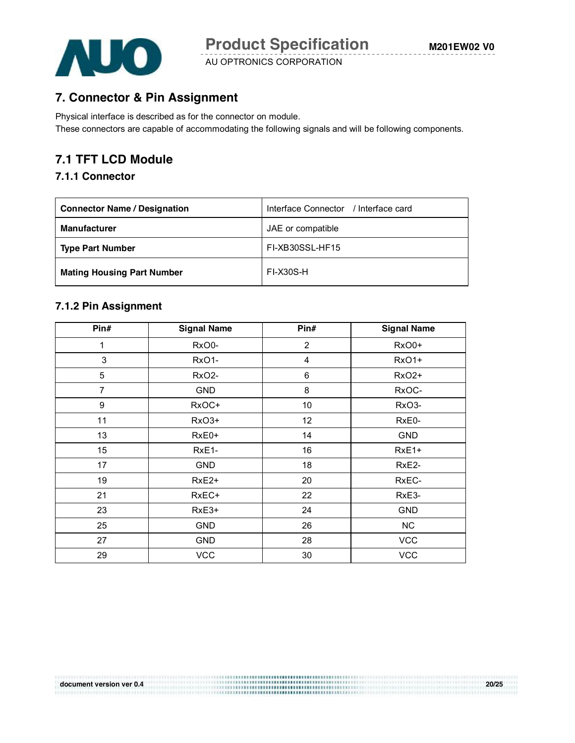

**7. Connector & Pin Assignment**

Physical interface is described as for the connector on module. These connectors are capable of accommodating the following signals and will be following components.

# **7.1 TFT LCD Module**

#### **7.1.1 Connector**

| <b>Connector Name / Designation</b> | Interface Connector / Interface card |
|-------------------------------------|--------------------------------------|
| <b>Manufacturer</b>                 | JAE or compatible                    |
| <b>Type Part Number</b>             | FI-XB30SSL-HF15                      |
| <b>Mating Housing Part Number</b>   | <b>FI-X30S-H</b>                     |

#### **7.1.2 Pin Assignment**

| Pin#           | <b>Signal Name</b> | Pin#           | <b>Signal Name</b> |
|----------------|--------------------|----------------|--------------------|
| $\mathbf 1$    | RxO0-              | $\overline{2}$ | RxO0+              |
| 3              | RxO1-              | 4              | RxO1+              |
| 5              | RxO <sub>2</sub> - | 6              | RxO2+              |
| $\overline{7}$ | <b>GND</b>         | 8              | RxOC-              |
| 9              | RxOC+              | 10             | RxO3-              |
| 11             | RxO3+              | 12             | RxE0-              |
| 13             | RxE0+              | 14             | <b>GND</b>         |
| 15             | RxE1-              | 16             | RxE1+              |
| 17             | <b>GND</b>         | 18             | RxE2-              |
| 19             | RxE <sub>2+</sub>  | 20             | RxEC-              |
| 21             | RxEC+              | 22             | RxE3-              |
| 23             | RxE3+              | 24             | <b>GND</b>         |
| 25             | <b>GND</b>         | 26             | <b>NC</b>          |
| 27             | <b>GND</b>         | 28             | <b>VCC</b>         |
| 29             | <b>VCC</b>         | 30             | <b>VCC</b>         |

**document version ver 0.4 20/25**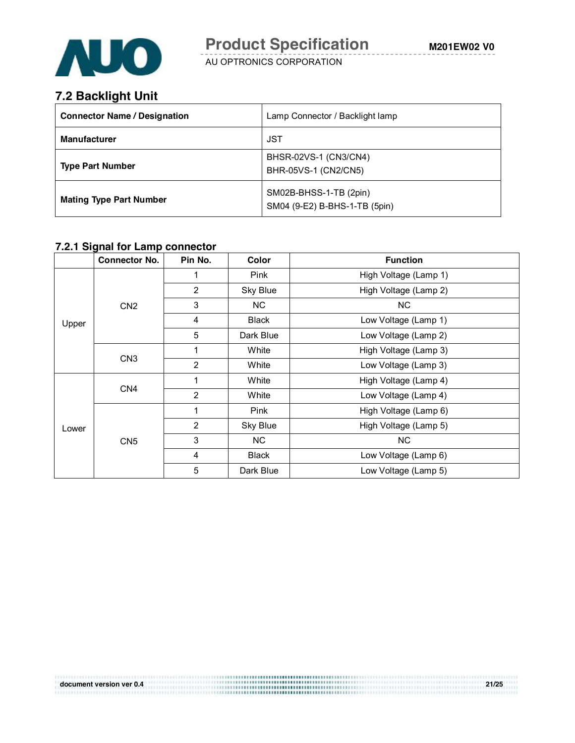

## **7.2 Backlight Unit**

| <b>Connector Name / Designation</b> | Lamp Connector / Backlight lamp                         |
|-------------------------------------|---------------------------------------------------------|
| <b>Manufacturer</b>                 | JST                                                     |
| <b>Type Part Number</b>             | BHSR-02VS-1 (CN3/CN4)<br>BHR-05VS-1 (CN2/CN5)           |
| <b>Mating Type Part Number</b>      | SM02B-BHSS-1-TB (2pin)<br>SM04 (9-E2) B-BHS-1-TB (5pin) |

#### **7.2.1 Signal for Lamp connector**

|       | <b>Connector No.</b> | Pin No.                 | Color        | <b>Function</b>       |
|-------|----------------------|-------------------------|--------------|-----------------------|
|       | CN <sub>2</sub>      |                         | Pink         | High Voltage (Lamp 1) |
|       |                      | $\overline{2}$          | Sky Blue     | High Voltage (Lamp 2) |
|       |                      | 3                       | NC.          | NC.                   |
| Upper |                      | $\overline{4}$          | <b>Black</b> | Low Voltage (Lamp 1)  |
|       |                      | 5                       | Dark Blue    | Low Voltage (Lamp 2)  |
|       | CN <sub>3</sub>      | 1                       | White        | High Voltage (Lamp 3) |
|       |                      | $\overline{2}$          | White        | Low Voltage (Lamp 3)  |
| Lower | CN <sub>4</sub>      | 1                       | White        | High Voltage (Lamp 4) |
|       |                      | $\overline{2}$          | White        | Low Voltage (Lamp 4)  |
|       | CN <sub>5</sub>      | 1                       | Pink         | High Voltage (Lamp 6) |
|       |                      | $\overline{2}$          | Sky Blue     | High Voltage (Lamp 5) |
|       |                      | 3                       | NC.          | NC                    |
|       |                      | $\overline{\mathbf{4}}$ | <b>Black</b> | Low Voltage (Lamp 6)  |
|       |                      | 5                       | Dark Blue    | Low Voltage (Lamp 5)  |

**document version ver 0.4 21/25**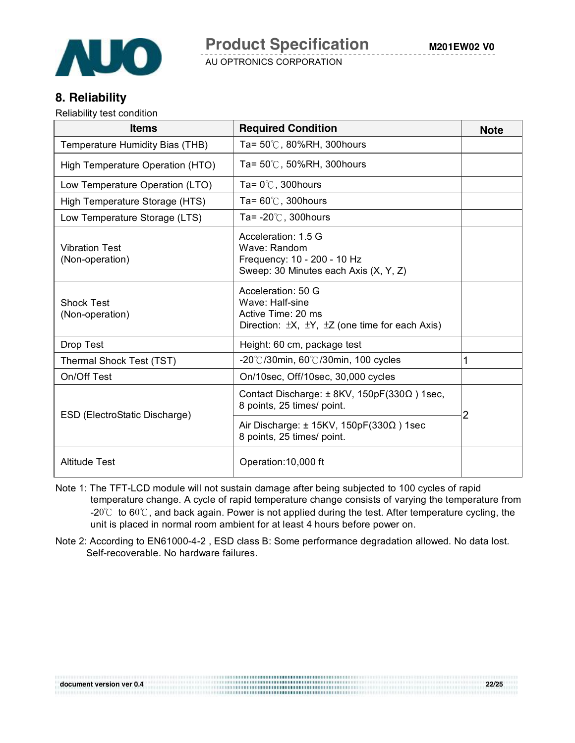

## **8. Reliability**

Reliability test condition

| <b>Items</b>                             | <b>Required Condition</b>                                                                                                      | <b>Note</b> |
|------------------------------------------|--------------------------------------------------------------------------------------------------------------------------------|-------------|
| Temperature Humidity Bias (THB)          | Ta= 50℃, 80%RH, 300hours                                                                                                       |             |
| High Temperature Operation (HTO)         | Ta= 50℃, 50%RH, 300hours                                                                                                       |             |
| Low Temperature Operation (LTO)          | Ta= $0^{\circ}$ C, 300 hours                                                                                                   |             |
| High Temperature Storage (HTS)           | Ta= $60^{\circ}$ C, 300 hours                                                                                                  |             |
| Low Temperature Storage (LTS)            | Ta= $-20^{\circ}$ C, 300 hours                                                                                                 |             |
| <b>Vibration Test</b><br>(Non-operation) | Acceleration: 1.5 G<br>Wave: Random<br>Frequency: 10 - 200 - 10 Hz<br>Sweep: 30 Minutes each Axis (X, Y, Z)                    |             |
| <b>Shock Test</b><br>(Non-operation)     | Acceleration: 50 G<br>Wave: Half-sine<br>Active Time: 20 ms<br>Direction: $\pm X$ , $\pm Y$ , $\pm Z$ (one time for each Axis) |             |
| Drop Test                                | Height: 60 cm, package test                                                                                                    |             |
| Thermal Shock Test (TST)                 | $-20^{\circ}$ C/30min, 60 $\circ$ C/30min, 100 cycles                                                                          | 1           |
| On/Off Test                              | On/10sec, Off/10sec, 30,000 cycles                                                                                             |             |
|                                          | Contact Discharge: ± 8KV, 150pF(330Ω) 1sec,<br>8 points, 25 times/ point.                                                      |             |
| ESD (ElectroStatic Discharge)            | Air Discharge: $\pm$ 15KV, 150pF(330 $\Omega$ ) 1sec<br>8 points, 25 times/ point.                                             | 2           |
| <b>Altitude Test</b>                     | Operation: 10,000 ft                                                                                                           |             |

- Note 1: The TFT-LCD module will not sustain damage after being subjected to 100 cycles of rapid temperature change. A cycle of rapid temperature change consists of varying the temperature from -20℃ to 60℃, and back again. Power is not applied during the test. After temperature cycling, the unit is placed in normal room ambient for at least 4 hours before power on.
- Note 2: According to EN61000-4-2 , ESD class B: Some performance degradation allowed. No data lost. Self-recoverable. No hardware failures.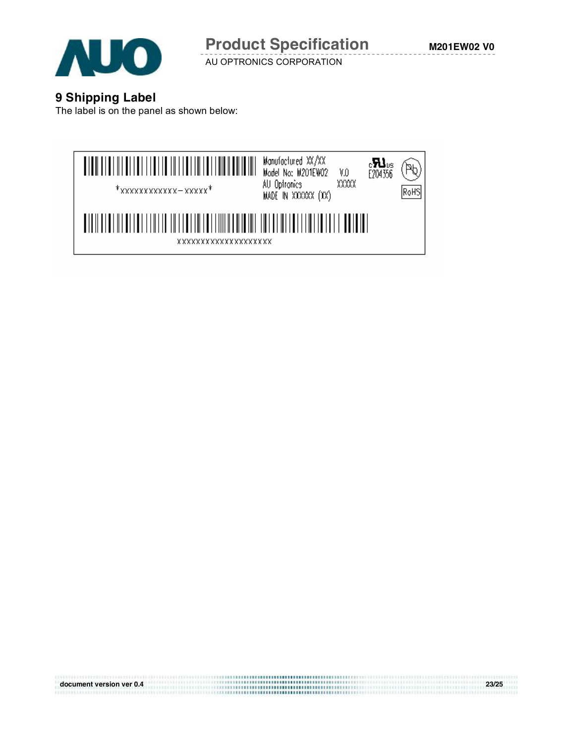

**M201EW02 V0**

AU OPTRONICS CORPORATION

#### **9 Shipping Label**

The label is on the panel as shown below:



**document version ver 0.4 23/25**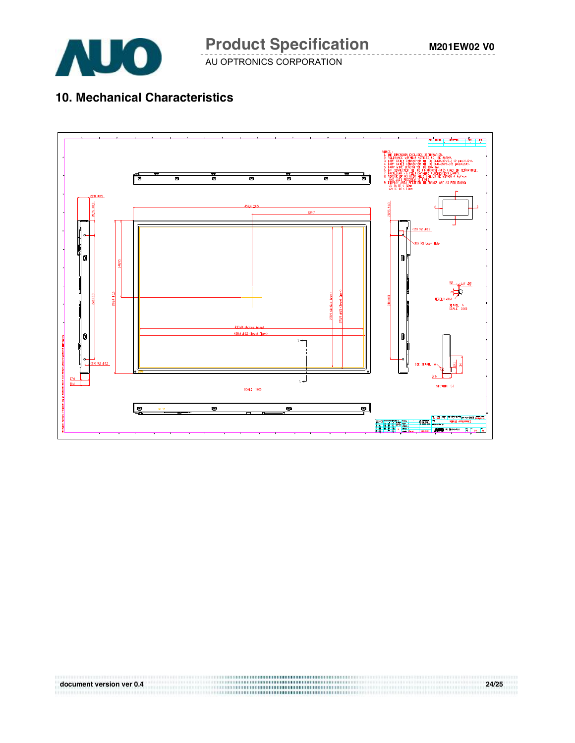

**M201EW02 V0**

AU OPTRONICS CORPORATION

# **10. Mechanical Characteristics**



**document version ver 0.4 24/25**